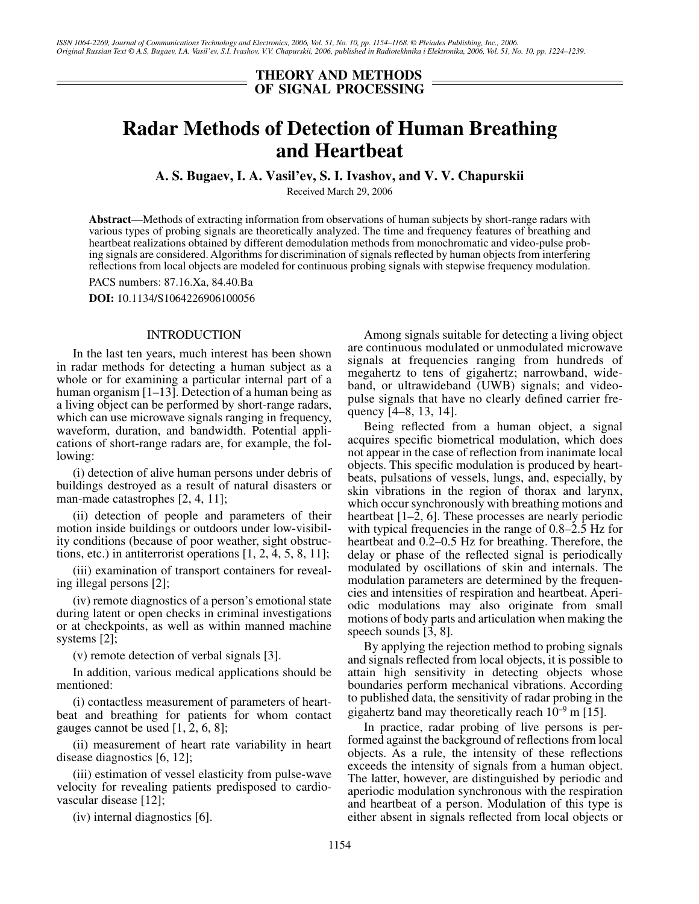# **THEORY AND METHODS OF SIGNAL PROCESSING**

# **Radar Methods of Detection of Human Breathing and Heartbeat**

**A. S. Bugaev, I. A. Vasil'ev, S. I. Ivashov, and V. V. Chapurskii**

Received March 29, 2006

**Abstract**—Methods of extracting information from observations of human subjects by short-range radars with various types of probing signals are theoretically analyzed. The time and frequency features of breathing and heartbeat realizations obtained by different demodulation methods from monochromatic and video-pulse probing signals are considered. Algorithms for discrimination of signals reflected by human objects from interfering reflections from local objects are modeled for continuous probing signals with stepwise frequency modulation.

PACS numbers: 87.16.Xa, 84.40.Ba **DOI:** 10.1134/S1064226906100056

# INTRODUCTION

In the last ten years, much interest has been shown in radar methods for detecting a human subject as a whole or for examining a particular internal part of a human organism [1–13]. Detection of a human being as a living object can be performed by short-range radars, which can use microwave signals ranging in frequency, waveform, duration, and bandwidth. Potential applications of short-range radars are, for example, the following:

(i) detection of alive human persons under debris of buildings destroyed as a result of natural disasters or man-made catastrophes [2, 4, 11];

(ii) detection of people and parameters of their motion inside buildings or outdoors under low-visibility conditions (because of poor weather, sight obstructions, etc.) in antiterrorist operations [1, 2, 4, 5, 8, 11];

(iii) examination of transport containers for revealing illegal persons [2];

(iv) remote diagnostics of a person's emotional state during latent or open checks in criminal investigations or at checkpoints, as well as within manned machine systems [2];

(v) remote detection of verbal signals [3].

In addition, various medical applications should be mentioned:

(i) contactless measurement of parameters of heartbeat and breathing for patients for whom contact gauges cannot be used [1, 2, 6, 8];

(ii) measurement of heart rate variability in heart disease diagnostics [6, 12];

(iii) estimation of vessel elasticity from pulse-wave velocity for revealing patients predisposed to cardiovascular disease [12];

(iv) internal diagnostics [6].

Among signals suitable for detecting a living object are continuous modulated or unmodulated microwave signals at frequencies ranging from hundreds of megahertz to tens of gigahertz; narrowband, wideband, or ultrawideband (UWB) signals; and videopulse signals that have no clearly defined carrier frequency [4–8, 13, 14].

Being reflected from a human object, a signal acquires specific biometrical modulation, which does not appear in the case of reflection from inanimate local objects. This specific modulation is produced by heartbeats, pulsations of vessels, lungs, and, especially, by skin vibrations in the region of thorax and larynx, which occur synchronously with breathing motions and heartbeat [1–2, 6]. These processes are nearly periodic with typical frequencies in the range of  $0.8-2.5$  Hz for heartbeat and 0.2–0.5 Hz for breathing. Therefore, the delay or phase of the reflected signal is periodically modulated by oscillations of skin and internals. The modulation parameters are determined by the frequencies and intensities of respiration and heartbeat. Aperiodic modulations may also originate from small motions of body parts and articulation when making the speech sounds [3, 8].

By applying the rejection method to probing signals and signals reflected from local objects, it is possible to attain high sensitivity in detecting objects whose boundaries perform mechanical vibrations. According to published data, the sensitivity of radar probing in the gigahertz band may theoretically reach  $10^{-9}$  m [15].

In practice, radar probing of live persons is performed against the background of reflections from local objects. As a rule, the intensity of these reflections exceeds the intensity of signals from a human object. The latter, however, are distinguished by periodic and aperiodic modulation synchronous with the respiration and heartbeat of a person. Modulation of this type is either absent in signals reflected from local objects or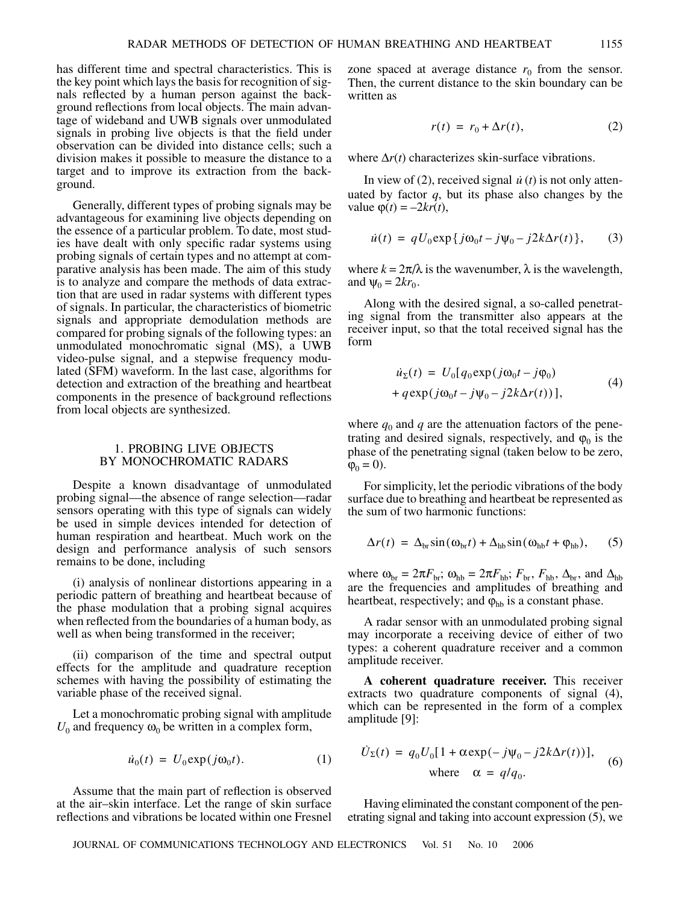has different time and spectral characteristics. This is the key point which lays the basis for recognition of signals reflected by a human person against the background reflections from local objects. The main advantage of wideband and UWB signals over unmodulated signals in probing live objects is that the field under observation can be divided into distance cells; such a division makes it possible to measure the distance to a target and to improve its extraction from the background.

Generally, different types of probing signals may be advantageous for examining live objects depending on the essence of a particular problem. To date, most studies have dealt with only specific radar systems using probing signals of certain types and no attempt at comparative analysis has been made. The aim of this study is to analyze and compare the methods of data extraction that are used in radar systems with different types of signals. In particular, the characteristics of biometric signals and appropriate demodulation methods are compared for probing signals of the following types: an unmodulated monochromatic signal (MS), a UWB video-pulse signal, and a stepwise frequency modulated (SFM) waveform. In the last case, algorithms for detection and extraction of the breathing and heartbeat components in the presence of background reflections from local objects are synthesized.

### 1. PROBING LIVE OBJECTS BY MONOCHROMATIC RADARS

Despite a known disadvantage of unmodulated probing signal—the absence of range selection—radar sensors operating with this type of signals can widely be used in simple devices intended for detection of human respiration and heartbeat. Much work on the design and performance analysis of such sensors remains to be done, including

(i) analysis of nonlinear distortions appearing in a periodic pattern of breathing and heartbeat because of the phase modulation that a probing signal acquires when reflected from the boundaries of a human body, as well as when being transformed in the receiver;

(ii) comparison of the time and spectral output effects for the amplitude and quadrature reception schemes with having the possibility of estimating the variable phase of the received signal.

Let a monochromatic probing signal with amplitude  $U_0$  and frequency  $\omega_0$  be written in a complex form,

$$
\dot{u}_0(t) = U_0 \exp(j\omega_0 t). \tag{1}
$$

Assume that the main part of reflection is observed at the air–skin interface. Let the range of skin surface reflections and vibrations be located within one Fresnel zone spaced at average distance  $r_0$  from the sensor. Then, the current distance to the skin boundary can be written as

$$
r(t) = r_0 + \Delta r(t), \qquad (2)
$$

where ∆*r*(*t*) characterizes skin-surface vibrations.

In view of (2), received signal  $\dot{u}(t)$  is not only attenuated by factor  $q$ , but its phase also changes by the value  $\varphi(t) = -2kr(t)$ ,

$$
\dot{u}(t) = qU_0 \exp\{j\omega_0 t - j\psi_0 - j2k\Delta r(t)\},\qquad(3)
$$

where  $k = 2\pi/\lambda$  is the wavenumber,  $\lambda$  is the wavelength, and  $\Psi_0 = 2kr_0$ .

Along with the desired signal, a so-called penetrating signal from the transmitter also appears at the receiver input, so that the total received signal has the form

$$
\dot{u}_{\Sigma}(t) = U_0[q_0 \exp(j\omega_0 t - j\varphi_0) + q \exp(j\omega_0 t - j\psi_0 - j2k\Delta r(t))],
$$
\n(4)

where  $q_0$  and  $q$  are the attenuation factors of the penetrating and desired signals, respectively, and  $\varphi_0$  is the phase of the penetrating signal (taken below to be zero,  $\varphi_0 = 0$ ).

For simplicity, let the periodic vibrations of the body surface due to breathing and heartbeat be represented as the sum of two harmonic functions:

$$
\Delta r(t) = \Delta_{\rm br} \sin(\omega_{\rm br} t) + \Delta_{\rm hb} \sin(\omega_{\rm hb} t + \varphi_{\rm hb}), \qquad (5)
$$

where  $\omega_{\rm br} = 2\pi F_{\rm br}$ ;  $\omega_{\rm hb} = 2\pi F_{\rm hb}$ ;  $F_{\rm br}$ ,  $F_{\rm hb}$ ,  $\Delta_{\rm br}$ , and  $\Delta_{\rm hb}$ are the frequencies and amplitudes of breathing and heartbeat, respectively; and  $\varphi_{hb}$  is a constant phase.

A radar sensor with an unmodulated probing signal may incorporate a receiving device of either of two types: a coherent quadrature receiver and a common amplitude receiver.

**A coherent quadrature receiver.** This receiver extracts two quadrature components of signal (4), which can be represented in the form of a complex amplitude [9]:

$$
\dot{U}_{\Sigma}(t) = q_0 U_0 [1 + \alpha \exp(-j \psi_0 - j2k \Delta r(t))],
$$
  
where  $\alpha = q/q_0$ . (6)

Having eliminated the constant component of the penetrating signal and taking into account expression (5), we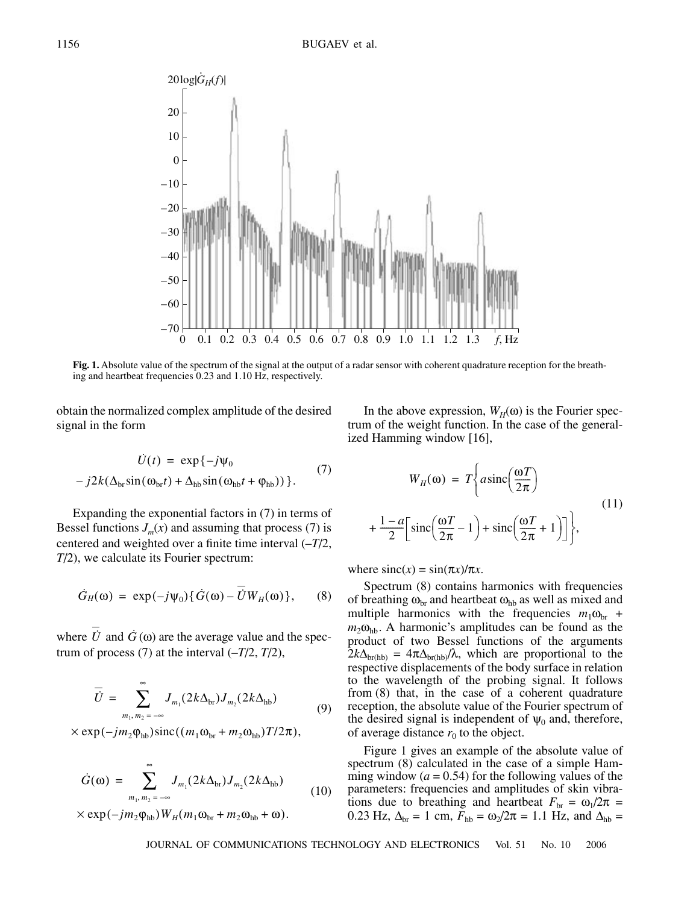

**Fig. 1.** Absolute value of the spectrum of the signal at the output of a radar sensor with coherent quadrature reception for the breathing and heartbeat frequencies 0.23 and 1.10 Hz, respectively.

obtain the normalized complex amplitude of the desired signal in the form

$$
\dot{U}(t) = \exp\{-j\Psi_0
$$
  
-  $j2k(\Delta_{\text{br}}\sin(\omega_{\text{br}}t) + \Delta_{\text{hb}}\sin(\omega_{\text{hb}}t + \varphi_{\text{hb}}))\}.$  (7)

Expanding the exponential factors in (7) in terms of Bessel functions  $J_m(x)$  and assuming that process (7) is centered and weighted over a finite time interval (–*T*/2, *T*/2), we calculate its Fourier spectrum:

$$
\dot{G}_H(\omega) = \exp(-j\psi_0)\{\dot{G}(\omega) - \dot{U}W_H(\omega)\},\qquad(8)
$$

where  $\dot{U}$  and  $\dot{G}(\omega)$  are the average value and the spectrum of process (7) at the interval  $(-T/2, T/2)$ ,

$$
\overline{U} = \sum_{m_1, m_2 = -\infty}^{\infty} J_{m_1} (2k\Delta_{\rm br}) J_{m_2} (2k\Delta_{\rm hb})
$$
(9)

 $\times$  exp( $-jm_2\varphi_{\text{hb}}$ )sinc( $(m_1\omega_{\text{br}} + m_2\omega_{\text{hb}})T/2\pi$ ),

$$
\dot{G}(\omega) = \sum_{m_1, m_2 = -\infty}^{\infty} J_{m_1}(2k\Delta_{\text{br}}) J_{m_2}(2k\Delta_{\text{hb}})
$$
(10)

$$
\times \exp(-jm_2\phi_{hb})W_H(m_1\omega_{br} + m_2\omega_{hb} + \omega).
$$

In the above expression,  $W_H(\omega)$  is the Fourier spectrum of the weight function. In the case of the generalized Hamming window [16],

$$
W_H(\omega) = T \left\{ a \operatorname{sinc} \left( \frac{\omega T}{2\pi} \right) + \frac{1 - a}{2} \left[ \operatorname{sinc} \left( \frac{\omega T}{2\pi} - 1 \right) + \operatorname{sinc} \left( \frac{\omega T}{2\pi} + 1 \right) \right] \right\},\tag{11}
$$

where  $\operatorname{sinc}(x) = \sin(\pi x)/\pi x$ .

Spectrum (8) contains harmonics with frequencies of breathing  $\omega_{\rm br}$  and heartbeat  $\omega_{\rm hb}$  as well as mixed and multiple harmonics with the frequencies  $m_1\omega_{\text{br}}$  +  $m_2\omega_{\rm hb}$ . A harmonic's amplitudes can be found as the product of two Bessel functions of the arguments  $2k\Delta_{\rm br(hb)} = 4\pi\Delta_{\rm br(hb)}/\lambda$ , which are proportional to the respective displacements of the body surface in relation to the wavelength of the probing signal. It follows from (8) that, in the case of a coherent quadrature reception, the absolute value of the Fourier spectrum of the desired signal is independent of  $\psi_0$  and, therefore, of average distance  $r_0$  to the object.

Figure 1 gives an example of the absolute value of spectrum (8) calculated in the case of a simple Hamming window  $(a = 0.54)$  for the following values of the parameters: frequencies and amplitudes of skin vibrations due to breathing and heartbeat  $F_{\text{br}} = \omega_1/2\pi =$ 0.23 Hz,  $\Delta_{\text{br}} = 1 \text{ cm}$ ,  $F_{\text{hb}} = \omega_2/2\pi = 1.1 \text{ Hz}$ , and  $\Delta_{\text{hb}} =$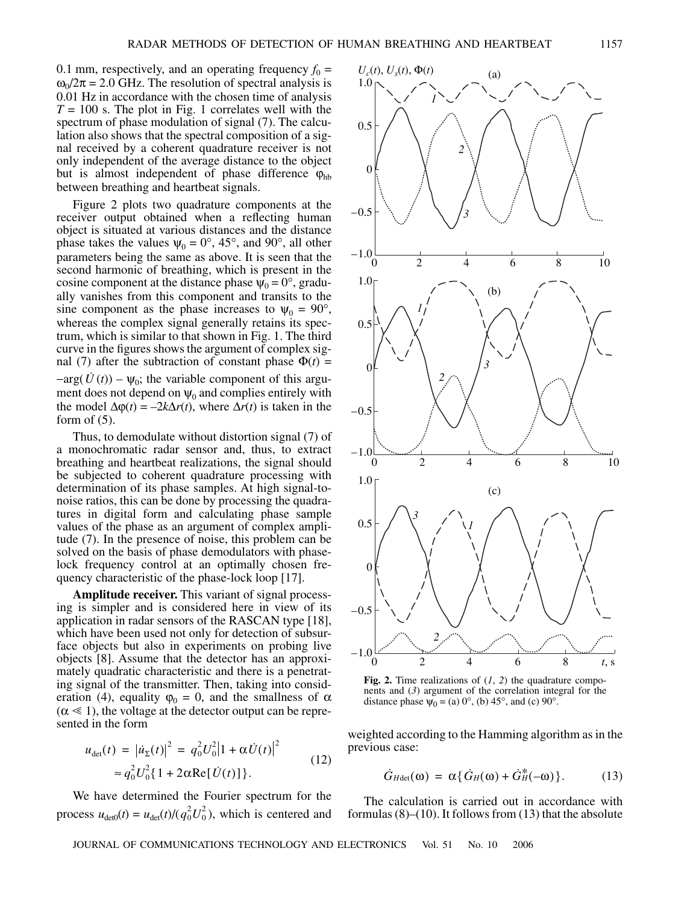0.1 mm, respectively, and an operating frequency  $f_0 =$  $\omega_0/2\pi = 2.0$  GHz. The resolution of spectral analysis is 0.01 Hz in accordance with the chosen time of analysis  $T = 100$  s. The plot in Fig. 1 correlates well with the spectrum of phase modulation of signal (7). The calculation also shows that the spectral composition of a signal received by a coherent quadrature receiver is not only independent of the average distance to the object but is almost independent of phase difference  $\varphi_{\text{hh}}$ between breathing and heartbeat signals.

Figure 2 plots two quadrature components at the receiver output obtained when a reflecting human object is situated at various distances and the distance phase takes the values  $\psi_0 = 0^\circ$ , 45°, and 90°, all other parameters being the same as above. It is seen that the second harmonic of breathing, which is present in the cosine component at the distance phase  $\Psi_0 = 0^\circ$ , gradually vanishes from this component and transits to the sine component as the phase increases to  $\psi_0 = 90^\circ$ , whereas the complex signal generally retains its spectrum, which is similar to that shown in Fig. 1. The third curve in the figures shows the argument of complex signal (7) after the subtraction of constant phase  $\Phi(t)$  =  $-\arg(\dot{U}(t)) - \psi_0$ ; the variable component of this argument does not depend on  $\psi_0$  and complies entirely with the model  $\Delta \varphi(t) = -2k\Delta r(t)$ , where  $\Delta r(t)$  is taken in the form of  $(5)$ .

Thus, to demodulate without distortion signal (7) of a monochromatic radar sensor and, thus, to extract breathing and heartbeat realizations, the signal should be subjected to coherent quadrature processing with determination of its phase samples. At high signal-tonoise ratios, this can be done by processing the quadratures in digital form and calculating phase sample values of the phase as an argument of complex amplitude (7). In the presence of noise, this problem can be solved on the basis of phase demodulators with phaselock frequency control at an optimally chosen frequency characteristic of the phase-lock loop [17].

**Amplitude receiver.** This variant of signal processing is simpler and is considered here in view of its application in radar sensors of the RASCAN type [18], which have been used not only for detection of subsurface objects but also in experiments on probing live objects [8]. Assume that the detector has an approximately quadratic characteristic and there is a penetrating signal of the transmitter. Then, taking into consideration (4), equality  $\varphi_0 = 0$ , and the smallness of  $\alpha$  $(\alpha \ll 1)$ , the voltage at the detector output can be represented in the form

$$
u_{\text{det}}(t) = |u_{\Sigma}(t)|^2 = q_0^2 U_0^2 |1 + \alpha \dot{U}(t)|^2
$$
  

$$
\approx q_0^2 U_0^2 \{ 1 + 2\alpha \text{Re}[\dot{U}(t)] \}.
$$
 (12)

We have determined the Fourier spectrum for the process  $u_{det0}(t) = u_{det}(t) / (q_0^2 U_0^2)$ , which is centered and



**Fig. 2.** Time realizations of (*1*, *2*) the quadrature components and (*3*) argument of the correlation integral for the distance phase  $\Psi_0 = (a) 0^\circ$ , (b) 45°, and (c) 90°.

weighted according to the Hamming algorithm as in the previous case:

$$
\dot{G}_{Hdet}(\omega) = \alpha \{ \dot{G}_H(\omega) + \dot{G}_H^*(-\omega) \}.
$$
 (13)

The calculation is carried out in accordance with formulas  $(8)$ – $(10)$ . It follows from  $(13)$  that the absolute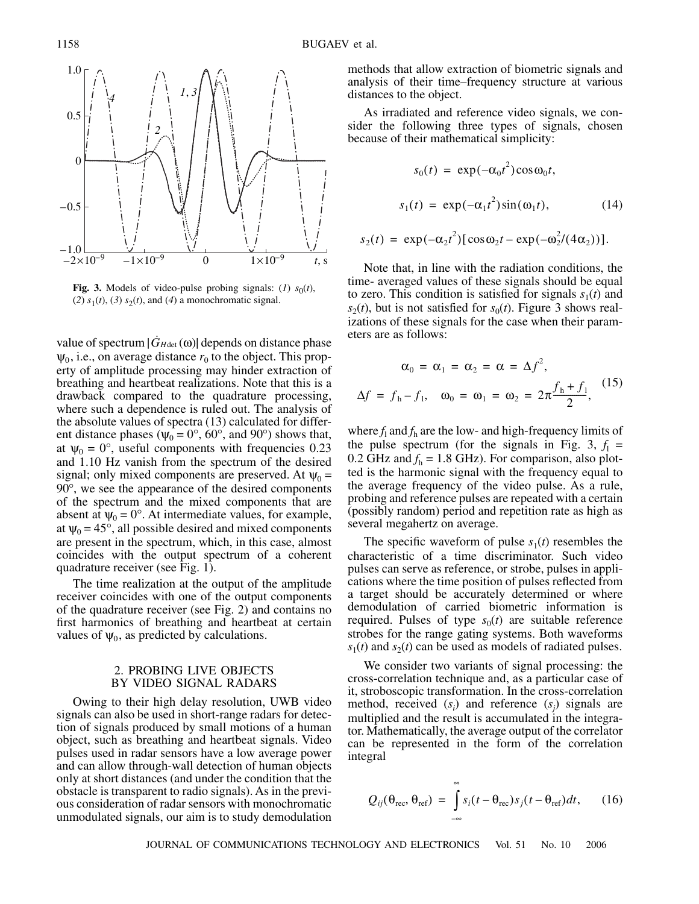

**Fig. 3.** Models of video-pulse probing signals: (*1*)  $s_0(t)$ , (2)  $s_1(t)$ , (3)  $s_2(t)$ , and (4) a monochromatic signal.

value of spectrum  $|\dot{G}_{H \text{det}}(\omega)|$  depends on distance phase  $\Psi_0$ , i.e., on average distance  $r_0$  to the object. This property of amplitude processing may hinder extraction of breathing and heartbeat realizations. Note that this is a drawback compared to the quadrature processing, where such a dependence is ruled out. The analysis of the absolute values of spectra (13) calculated for different distance phases ( $\Psi_0 = 0^\circ$ , 60°, and 90°) shows that, at  $\Psi_0 = 0^\circ$ , useful components with frequencies 0.23 and 1.10 Hz vanish from the spectrum of the desired signal; only mixed components are preserved. At  $\psi_0 =$ 90°, we see the appearance of the desired components of the spectrum and the mixed components that are absent at  $\psi_0 = 0^\circ$ . At intermediate values, for example, at  $\Psi_0 = 45^\circ$ , all possible desired and mixed components are present in the spectrum, which, in this case, almost coincides with the output spectrum of a coherent quadrature receiver (see Fig. 1).

The time realization at the output of the amplitude receiver coincides with one of the output components of the quadrature receiver (see Fig. 2) and contains no first harmonics of breathing and heartbeat at certain values of  $\psi_0$ , as predicted by calculations.

## 2. PROBING LIVE OBJECTS BY VIDEO SIGNAL RADARS

Owing to their high delay resolution, UWB video signals can also be used in short-range radars for detection of signals produced by small motions of a human object, such as breathing and heartbeat signals. Video pulses used in radar sensors have a low average power and can allow through-wall detection of human objects only at short distances (and under the condition that the obstacle is transparent to radio signals). As in the previous consideration of radar sensors with monochromatic unmodulated signals, our aim is to study demodulation methods that allow extraction of biometric signals and analysis of their time–frequency structure at various distances to the object.

As irradiated and reference video signals, we consider the following three types of signals, chosen because of their mathematical simplicity:

$$
s_0(t) = \exp(-\alpha_0 t^2) \cos \omega_0 t,
$$
  
\n
$$
s_1(t) = \exp(-\alpha_1 t^2) \sin(\omega_1 t), \qquad (14)
$$
  
\n
$$
s_2(t) = \exp(-\alpha_2 t^2) [\cos \omega_2 t - \exp(-\omega_2^2 / (4\alpha_2))].
$$

Note that, in line with the radiation conditions, the time- averaged values of these signals should be equal to zero. This condition is satisfied for signals  $s_1(t)$  and  $s_2(t)$ , but is not satisfied for  $s_0(t)$ . Figure 3 shows realizations of these signals for the case when their parameters are as follows:

$$
\alpha_0 = \alpha_1 = \alpha_2 = \alpha = \Delta f^2,
$$
  

$$
\Delta f = f_h - f_1, \quad \omega_0 = \omega_1 = \omega_2 = 2\pi \frac{f_h + f_1}{2}, \quad (15)
$$

where  $f_1$  and  $f_h$  are the low- and high-frequency limits of the pulse spectrum (for the signals in Fig. 3,  $f_1 =$ 0.2 GHz and  $f_h = 1.8$  GHz). For comparison, also plotted is the harmonic signal with the frequency equal to the average frequency of the video pulse. As a rule, probing and reference pulses are repeated with a certain (possibly random) period and repetition rate as high as several megahertz on average.

The specific waveform of pulse  $s_1(t)$  resembles the characteristic of a time discriminator. Such video pulses can serve as reference, or strobe, pulses in applications where the time position of pulses reflected from a target should be accurately determined or where demodulation of carried biometric information is required. Pulses of type  $s_0(t)$  are suitable reference strobes for the range gating systems. Both waveforms  $s_1(t)$  and  $s_2(t)$  can be used as models of radiated pulses.

We consider two variants of signal processing: the cross-correlation technique and, as a particular case of it, stroboscopic transformation. In the cross-correlation method, received  $(s_i)$  and reference  $(s_j)$  signals are multiplied and the result is accumulated in the integrator. Mathematically, the average output of the correlator can be represented in the form of the correlation integral

$$
Q_{ij}(\theta_{\text{rec}}, \theta_{\text{ref}}) = \int_{-\infty}^{\infty} s_i(t - \theta_{\text{rec}}) s_j(t - \theta_{\text{ref}}) dt, \qquad (16)
$$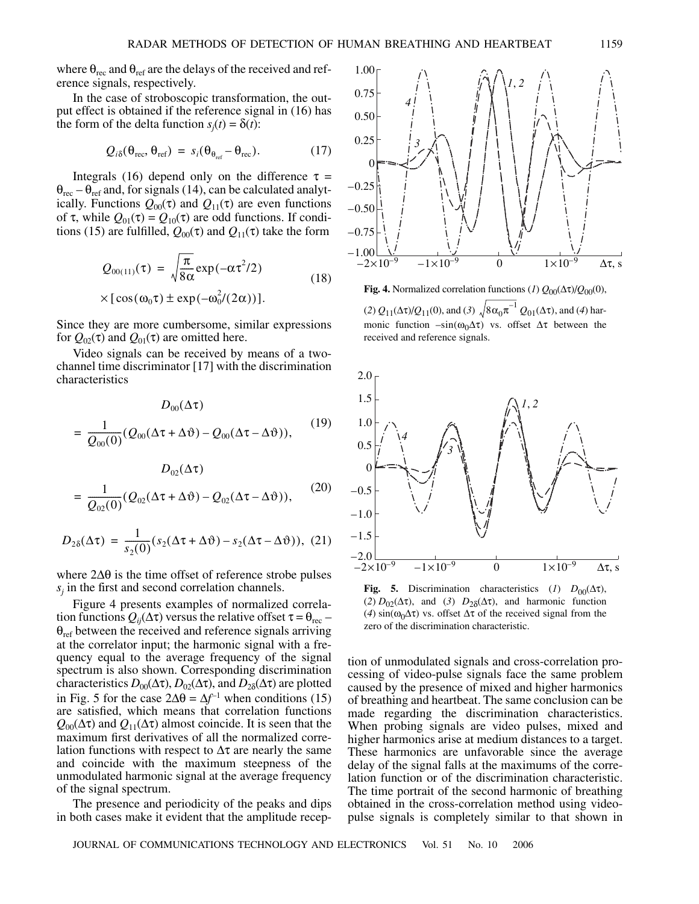where  $\theta_{\text{rec}}$  and  $\theta_{\text{ref}}$  are the delays of the received and reference signals, respectively.

In the case of stroboscopic transformation, the output effect is obtained if the reference signal in (16) has the form of the delta function  $s_j(t) = \delta(t)$ :

$$
Q_{i\delta}(\theta_{\text{rec}}, \theta_{\text{ref}}) = s_i(\theta_{\theta_{\text{ref}}} - \theta_{\text{rec}}).
$$
 (17)

Integrals (16) depend only on the difference  $\tau =$  $\theta_{\text{rec}}$  –  $\theta_{\text{ref}}$  and, for signals (14), can be calculated analytically. Functions  $Q_{00}(\tau)$  and  $Q_{11}(\tau)$  are even functions of  $\tau$ , while  $Q_{01}(\tau) = Q_{10}(\tau)$  are odd functions. If conditions (15) are fulfilled,  $Q_{00}(\tau)$  and  $Q_{11}(\tau)$  take the form

$$
Q_{00(11)}(\tau) = \sqrt{\frac{\pi}{8\alpha}} \exp(-\alpha \tau^2/2)
$$
  
× [cos( $\omega_0 \tau$ ) ± exp( $-\omega_0^2/(2\alpha)$ )]. (18)

Since they are more cumbersome, similar expressions for  $Q_{02}(\tau)$  and  $Q_{01}(\tau)$  are omitted here.

Video signals can be received by means of a twochannel time discriminator [17] with the discrimination characteristics

$$
D_{00}(\Delta \tau)
$$
\n
$$
= \frac{1}{Q_{00}(0)} (Q_{00}(\Delta \tau + \Delta \vartheta) - Q_{00}(\Delta \tau - \Delta \vartheta)), \qquad (19)
$$

$$
D_{02}(\Delta \tau)
$$
\n
$$
= \frac{1}{Q_{02}(0)} (Q_{02}(\Delta \tau + \Delta \vartheta) - Q_{02}(\Delta \tau - \Delta \vartheta)), \qquad (20)
$$

$$
D_{2\delta}(\Delta \tau) = \frac{1}{s_2(0)} (s_2(\Delta \tau + \Delta \vartheta) - s_2(\Delta \tau - \Delta \vartheta)), (21)
$$

where 2∆θ is the time offset of reference strobe pulses  $s_j$  in the first and second correlation channels.

Figure 4 presents examples of normalized correlation functions  $Q_{ij}(\Delta \tau)$  versus the relative offset  $\tau = \theta_{\text{rec}}$  –  $\theta_{\text{ref}}$  between the received and reference signals arriving at the correlator input; the harmonic signal with a frequency equal to the average frequency of the signal spectrum is also shown. Corresponding discrimination characteristics  $D_{00}(\Delta \tau)$ ,  $D_{02}(\Delta \tau)$ , and  $D_{2\delta}(\Delta \tau)$  are plotted in Fig. 5 for the case  $2\Delta\theta = \Delta f^{-1}$  when conditions (15) are satisfied, which means that correlation functions  $Q_{00}(\Delta \tau)$  and  $Q_{11}(\Delta \tau)$  almost coincide. It is seen that the maximum first derivatives of all the normalized correlation functions with respect to  $\Delta\tau$  are nearly the same and coincide with the maximum steepness of the unmodulated harmonic signal at the average frequency of the signal spectrum.

The presence and periodicity of the peaks and dips in both cases make it evident that the amplitude recep-



**Fig. 4.** Normalized correlation functions (*1*)  $Q_{00}(\Delta \tau)/Q_{00}(0)$ , (2)  $Q_{11}(\Delta \tau)/Q_{11}(0)$ , and (3)  $\sqrt{8\alpha_0 \pi^{-1}} Q_{01}(\Delta \tau)$ , and (4) harmonic function  $-\sin(\omega_0\Delta\tau)$  vs. offset  $\Delta\tau$  between the received and reference signals.



**Fig. 5.** Discrimination characteristics (*1*)  $D_{00}(\Delta \tau)$ , (2)  $D_{02}(\Delta \tau)$ , and (3)  $D_{2\delta}(\Delta \tau)$ , and harmonic function (*4*) sin( $\omega_0 \Delta \tau$ ) vs. offset  $\Delta \tau$  of the received signal from the zero of the discrimination characteristic.

tion of unmodulated signals and cross-correlation processing of video-pulse signals face the same problem caused by the presence of mixed and higher harmonics of breathing and heartbeat. The same conclusion can be made regarding the discrimination characteristics. When probing signals are video pulses, mixed and higher harmonics arise at medium distances to a target. These harmonics are unfavorable since the average delay of the signal falls at the maximums of the correlation function or of the discrimination characteristic. The time portrait of the second harmonic of breathing obtained in the cross-correlation method using videopulse signals is completely similar to that shown in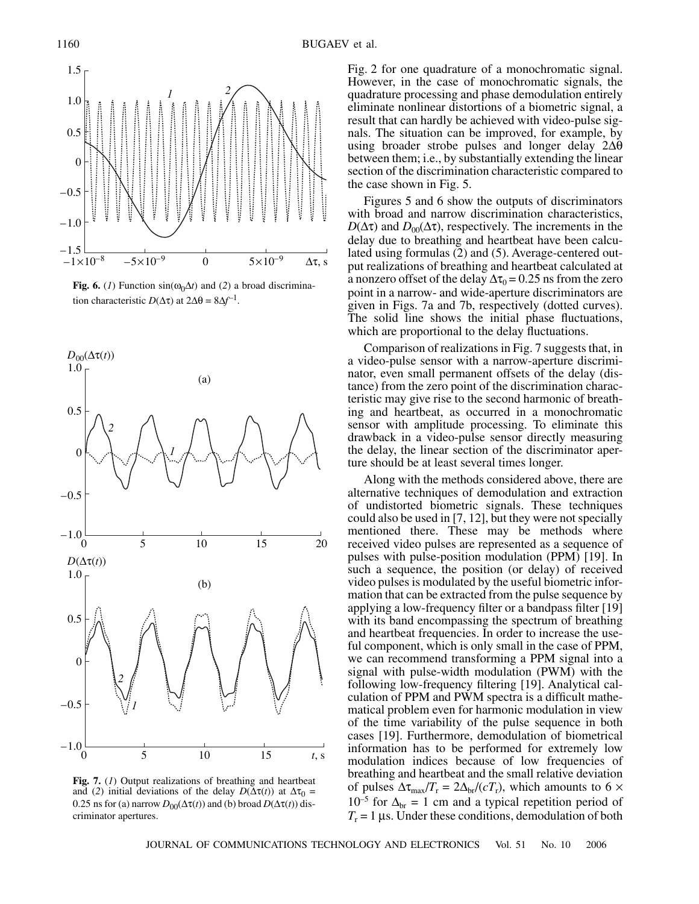

**Fig. 6.** (*1*) Function  $sin(\omega_0 \Delta t)$  and (*2*) a broad discrimination characteristic  $D(\Delta \tau)$  at  $2\Delta \theta = 8\Delta f^{-1}$ .



**Fig. 7.** (*1*) Output realizations of breathing and heartbeat and (2) initial deviations of the delay  $D(\Delta \tau(t))$  at  $\Delta \tau_0$  = 0.25 ns for (a) narrow  $D_{00}(\Delta \tau(t))$  and (b) broad  $D(\Delta \tau(t))$  discriminator apertures.

Fig. 2 for one quadrature of a monochromatic signal. However, in the case of monochromatic signals, the quadrature processing and phase demodulation entirely eliminate nonlinear distortions of a biometric signal, a result that can hardly be achieved with video-pulse signals. The situation can be improved, for example, by using broader strobe pulses and longer delay 2∆θ between them; i.e., by substantially extending the linear section of the discrimination characteristic compared to the case shown in Fig. 5.

Figures 5 and 6 show the outputs of discriminators with broad and narrow discrimination characteristics, *D*( $\Delta$ τ) and *D*<sub>00</sub>( $\Delta$ τ), respectively. The increments in the delay due to breathing and heartbeat have been calculated using formulas (2) and (5). Average-centered output realizations of breathing and heartbeat calculated at a nonzero offset of the delay  $\Delta\tau_0 = 0.25$  ns from the zero point in a narrow- and wide-aperture discriminators are given in Figs. 7a and 7b, respectively (dotted curves). The solid line shows the initial phase fluctuations, which are proportional to the delay fluctuations.

Comparison of realizations in Fig. 7 suggests that, in a video-pulse sensor with a narrow-aperture discriminator, even small permanent offsets of the delay (distance) from the zero point of the discrimination characteristic may give rise to the second harmonic of breathing and heartbeat, as occurred in a monochromatic sensor with amplitude processing. To eliminate this drawback in a video-pulse sensor directly measuring the delay, the linear section of the discriminator aperture should be at least several times longer.

Along with the methods considered above, there are alternative techniques of demodulation and extraction of undistorted biometric signals. These techniques could also be used in [7, 12], but they were not specially mentioned there. These may be methods where received video pulses are represented as a sequence of pulses with pulse-position modulation (PPM) [19]. In such a sequence, the position (or delay) of received video pulses is modulated by the useful biometric information that can be extracted from the pulse sequence by applying a low-frequency filter or a bandpass filter [19] with its band encompassing the spectrum of breathing and heartbeat frequencies. In order to increase the useful component, which is only small in the case of PPM, we can recommend transforming a PPM signal into a signal with pulse-width modulation (PWM) with the following low-frequency filtering [19]. Analytical calculation of PPM and PWM spectra is a difficult mathematical problem even for harmonic modulation in view of the time variability of the pulse sequence in both cases [19]. Furthermore, demodulation of biometrical information has to be performed for extremely low modulation indices because of low frequencies of breathing and heartbeat and the small relative deviation of pulses  $\Delta \tau_{\text{max}}/T_{\text{r}} = 2\Delta_{\text{br}}/(\text{c}T_{\text{r}})$ , which amounts to 6 ×  $10^{-5}$  for  $\Delta_{\rm br} = 1$  cm and a typical repetition period of  $T_r = 1 \,\mu$ s. Under these conditions, demodulation of both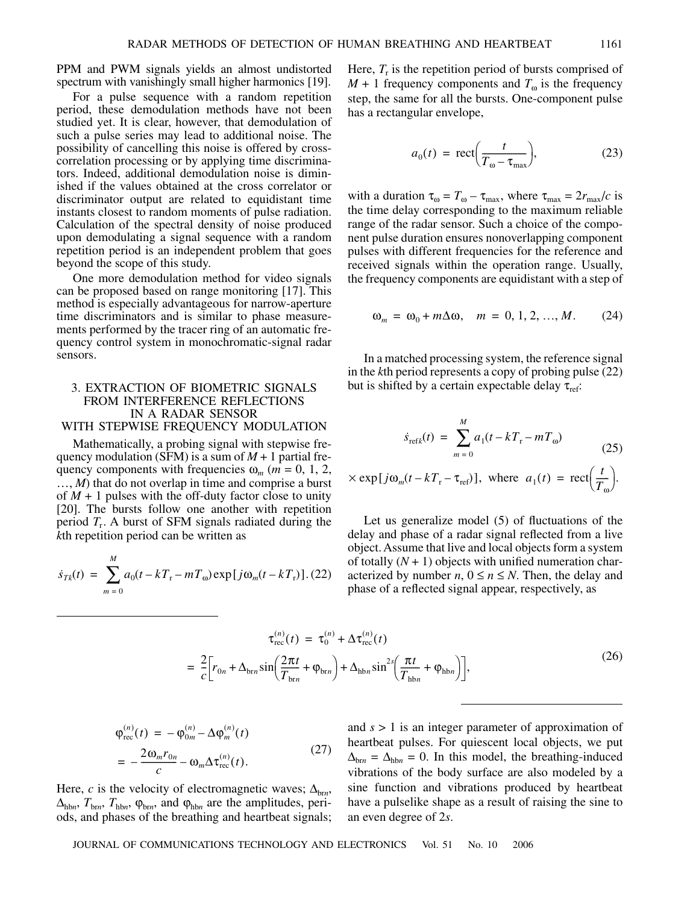For a pulse sequence with a random repetition period, these demodulation methods have not been studied yet. It is clear, however, that demodulation of such a pulse series may lead to additional noise. The possibility of cancelling this noise is offered by crosscorrelation processing or by applying time discriminators. Indeed, additional demodulation noise is diminished if the values obtained at the cross correlator or discriminator output are related to equidistant time instants closest to random moments of pulse radiation. Calculation of the spectral density of noise produced upon demodulating a signal sequence with a random repetition period is an independent problem that goes beyond the scope of this study.

One more demodulation method for video signals can be proposed based on range monitoring [17]. This method is especially advantageous for narrow-aperture time discriminators and is similar to phase measurements performed by the tracer ring of an automatic frequency control system in monochromatic-signal radar sensors.

# 3. EXTRACTION OF BIOMETRIC SIGNALS FROM INTERFERENCE REFLECTIONS IN A RADAR SENSOR

# WITH STEPWISE FREQUENCY MODULATION

Mathematically, a probing signal with stepwise frequency modulation (SFM) is a sum of  $M + 1$  partial frequency components with frequencies  $\omega_m$  (*m* = 0, 1, 2, …, *M*) that do not overlap in time and comprise a burst of  $M + 1$  pulses with the off-duty factor close to unity [20]. The bursts follow one another with repetition period  $T_r$ . A burst of SFM signals radiated during the *k*th repetition period can be written as

$$
\dot{s}_{Tk}(t) = \sum_{m=0}^{M} a_0(t - kT_r - mT_{\omega}) \exp[j\omega_m(t - kT_r)]. (22)
$$

Here,  $T<sub>r</sub>$  is the repetition period of bursts comprised of  $M + 1$  frequency components and  $T_{\omega}$  is the frequency step, the same for all the bursts. One-component pulse has a rectangular envelope,

$$
a_0(t) = \text{rect}\left(\frac{t}{T_{\omega} - \tau_{\text{max}}}\right),\tag{23}
$$

with a duration  $\tau_{\omega} = T_{\omega} - \tau_{\text{max}}$ , where  $\tau_{\text{max}} = 2r_{\text{max}}/c$  is the time delay corresponding to the maximum reliable range of the radar sensor. Such a choice of the component pulse duration ensures nonoverlapping component pulses with different frequencies for the reference and received signals within the operation range. Usually, the frequency components are equidistant with a step of

$$
\omega_m = \omega_0 + m\Delta\omega, \quad m = 0, 1, 2, ..., M. \tag{24}
$$

In a matched processing system, the reference signal in the *k*th period represents a copy of probing pulse (22) but is shifted by a certain expectable delay  $\tau_{ref}$ :

$$
\dot{s}_{\text{refk}}(t) = \sum_{m=0}^{M} a_1(t - kT_r - mT_\omega) \tag{25}
$$

$$
\times \exp[j\omega_m(t - kT_r - \tau_{ref})]
$$
, where  $a_1(t) = \text{rect}\left(\frac{t}{T_{\omega}}\right)$ .

Let us generalize model (5) of fluctuations of the delay and phase of a radar signal reflected from a live object. Assume that live and local objects form a system of totally  $(N + 1)$  objects with unified numeration characterized by number  $n, 0 \le n \le N$ . Then, the delay and phase of a reflected signal appear, respectively, as

$$
\tau_{\text{rec}}^{(n)}(t) = \tau_0^{(n)} + \Delta \tau_{\text{rec}}^{(n)}(t)
$$
  
= 
$$
\frac{2}{c} \Big[ r_{0n} + \Delta_{\text{brn}} \sin \Big( \frac{2\pi t}{T_{\text{brn}}} + \varphi_{\text{brn}} \Big) + \Delta_{\text{hbn}} \sin \Big( \frac{2\pi t}{T_{\text{hbn}}} + \varphi_{\text{hbn}} \Big) \Big],
$$
 (26)

$$
\varphi_{\text{rec}}^{(n)}(t) = -\varphi_{0m}^{(n)} - \Delta \varphi_{m}^{(n)}(t)
$$
  
= 
$$
-\frac{2\omega_{m}r_{0n}}{c} - \omega_{m}\Delta \tau_{\text{rec}}^{(n)}(t).
$$
 (27)

Here, *c* is the velocity of electromagnetic waves;  $\Delta_{\text{brn}}$ ,  $\Delta_{\text{hbn}}$ ,  $T_{\text{brn}}$ ,  $T_{\text{hbn}}$ , φ<sub>brn</sub>, and φ<sub>hbn</sub> are the amplitudes, periods, and phases of the breathing and heartbeat signals; and *s* > 1 is an integer parameter of approximation of heartbeat pulses. For quiescent local objects, we put  $\Delta_{\text{brn}} = \Delta_{\text{hbn}} = 0$ . In this model, the breathing-induced vibrations of the body surface are also modeled by a sine function and vibrations produced by heartbeat have a pulselike shape as a result of raising the sine to an even degree of 2*s*.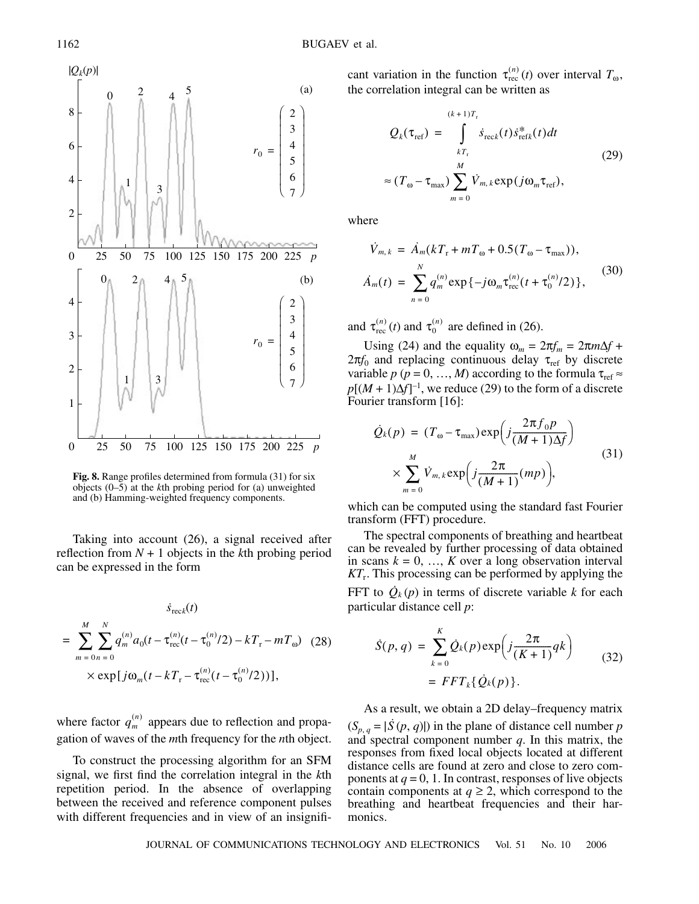

**Fig. 8.** Range profiles determined from formula (31) for six objects (0–5) at the *k*th probing period for (a) unweighted and (b) Hamming-weighted frequency components.

Taking into account (26), a signal received after reflection from  $N + 1$  objects in the *k*th probing period can be expressed in the form

$$
\dot{s}_{\text{rec}}(t)
$$
\n
$$
= \sum_{m=0}^{M} \sum_{n=0}^{N} q_m^{(n)} a_0 (t - \tau_{\text{rec}}^{(n)}(t - \tau_0^{(n)}/2) - kT_r - mT_{\omega}) \quad (28)
$$
\n
$$
\times \exp[j\omega_m(t - kT_r - \tau_{\text{rec}}^{(n)}(t - \tau_0^{(n)}/2))],
$$

where factor  $q_m^{(n)}$  appears due to reflection and propagation of waves of the *m*th frequency for the *n*th object.

To construct the processing algorithm for an SFM signal, we first find the correlation integral in the *k*th repetition period. In the absence of overlapping between the received and reference component pulses with different frequencies and in view of an insignifi-

cant variation in the function  $\tau_{\text{rec}}^{(n)}(t)$  over interval  $T_{\omega}$ , the correlation integral can be written as

$$
Q_k(\tau_{\text{ref}}) = \int_{kT_r}^{(k+1)T_r} \dot{s}_{\text{rect}}(t) \dot{s}_{\text{ref}k}^*(t) dt
$$
  
\n
$$
\approx (T_{\omega} - \tau_{\text{max}}) \sum_{m=0}^{M} \dot{V}_{m,k} \exp(j\omega_m \tau_{\text{ref}}),
$$
\n(29)

where

$$
\dot{V}_{m,k} = \dot{A}_m(kT_r + mT_\omega + 0.5(T_\omega - \tau_{\text{max}})),
$$
\n
$$
\dot{A}_m(t) = \sum_{n=0}^{N} q_m^{(n)} \exp\{-j\omega_m \tau_{\text{rec}}^{(n)}(t + \tau_0^{(n)}/2)\},
$$
\n(30)

and  $\tau_{\text{rec}}^{(n)}(t)$  and  $\tau_{0}^{(n)}$  are defined in (26).

Using (24) and the equality  $\omega_m = 2\pi f_m = 2\pi m\Delta f +$  $2\pi f_0$  and replacing continuous delay  $\tau_{ref}$  by discrete variable  $p$  ( $p = 0, ..., M$ ) according to the formula  $\tau_{ref} \approx$  $p[(M + 1)\Delta f]^{-1}$ , we reduce (29) to the form of a discrete Fourier transform [16]:

$$
\dot{Q}_{k}(p) = (T_{\omega} - \tau_{\max}) \exp\left(j\frac{2\pi f_0 p}{(M+1)\Delta f}\right)
$$
\n
$$
\times \sum_{m=0}^{M} \dot{V}_{m,k} \exp\left(j\frac{2\pi}{(M+1)}(mp)\right),
$$
\n(31)

which can be computed using the standard fast Fourier transform (FFT) procedure.

The spectral components of breathing and heartbeat can be revealed by further processing of data obtained in scans  $k = 0, ..., K$  over a long observation interval *KT*r. This processing can be performed by applying the FFT to  $\dot{Q}_k(p)$  in terms of discrete variable *k* for each particular distance cell *p*:

$$
\dot{S}(p,q) = \sum_{k=0}^{K} \dot{Q}_k(p) \exp\left(j\frac{2\pi}{(K+1)}qk\right)
$$
  
= 
$$
FFT_k\{\dot{Q}_k(p)\}.
$$
 (32)

As a result, we obtain a 2D delay–frequency matrix

 $(S_{p, q} = | \dot{S}(p, q)|)$  in the plane of distance cell number *p* and spectral component number *q*. In this matrix, the responses from fixed local objects located at different distance cells are found at zero and close to zero components at  $q = 0, 1$ . In contrast, responses of live objects contain components at  $q \geq 2$ , which correspond to the breathing and heartbeat frequencies and their harmonics.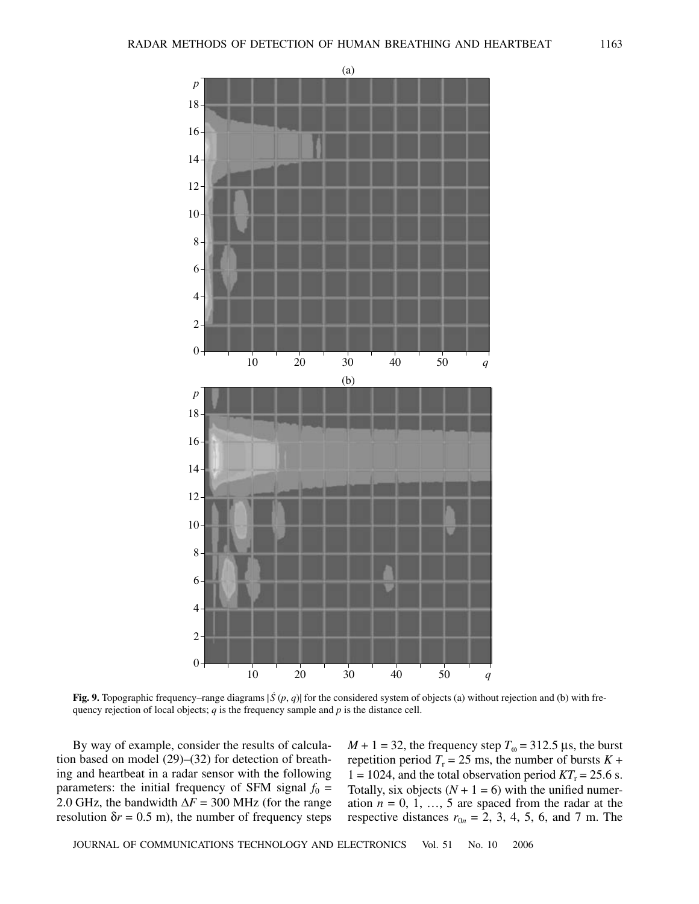

**Fig. 9.** Topographic frequency–range diagrams  $|\dot{S}(p, q)|$  for the considered system of objects (a) without rejection and (b) with frequency rejection of local objects; *q* is the frequency sample and *p* is the distance cell.

By way of example, consider the results of calculation based on model (29)–(32) for detection of breathing and heartbeat in a radar sensor with the following parameters: the initial frequency of SFM signal  $f_0 =$ 2.0 GHz, the bandwidth  $\Delta F = 300$  MHz (for the range resolution  $\delta r = 0.5$  m), the number of frequency steps  $M + 1 = 32$ , the frequency step  $T_{\omega} = 312.5 \,\mu s$ , the burst repetition period  $T_r = 25$  ms, the number of bursts  $K +$  $1 = 1024$ , and the total observation period  $KT_r = 25.6$  s. Totally, six objects  $(N + 1 = 6)$  with the unified numeration  $n = 0, 1, \ldots, 5$  are spaced from the radar at the respective distances  $r_{0n} = 2, 3, 4, 5, 6,$  and 7 m. The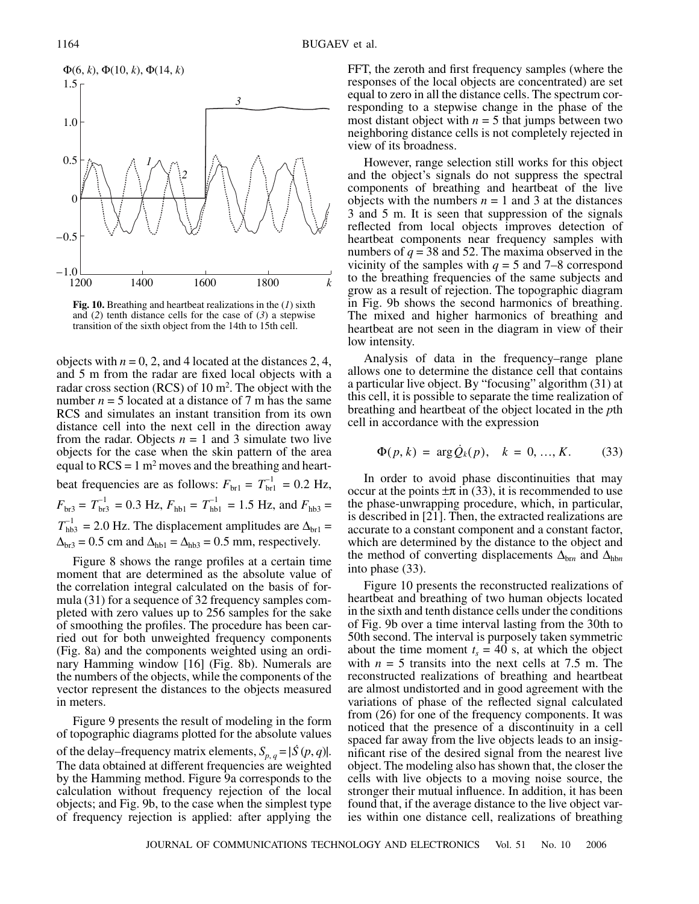

**Fig. 10.** Breathing and heartbeat realizations in the (*1*) sixth and (*2*) tenth distance cells for the case of (*3*) a stepwise transition of the sixth object from the 14th to 15th cell.

objects with  $n = 0, 2$ , and 4 located at the distances 2, 4, and 5 m from the radar are fixed local objects with a radar cross section (RCS) of  $10 \text{ m}^2$ . The object with the number  $n = 5$  located at a distance of 7 m has the same RCS and simulates an instant transition from its own distance cell into the next cell in the direction away from the radar. Objects  $n = 1$  and 3 simulate two live objects for the case when the skin pattern of the area equal to  $RCS = 1$  m<sup>2</sup> moves and the breathing and heartbeat frequencies are as follows:  $F_{\text{br1}} = T_{\text{br1}}^{-1} = 0.2 \text{ Hz}$ ,  $F_{\text{br3}} = T_{\text{br3}}^{-1} = 0.3 \text{ Hz}, F_{\text{hb1}} = T_{\text{hb1}}^{-1} = 1.5 \text{ Hz}, \text{ and } F_{\text{hb3}} =$ = 2.0 Hz. The displacement amplitudes are  $\Delta_{\text{br1}}$  =  $\Delta_{\text{br3}} = 0.5 \text{ cm}$  and  $\Delta_{\text{hb1}} = \Delta_{\text{hb3}} = 0.5 \text{ mm}$ , respectively.  $T_{\mathrm{hb}3}^{-1}$ 

Figure 8 shows the range profiles at a certain time moment that are determined as the absolute value of the correlation integral calculated on the basis of formula (31) for a sequence of 32 frequency samples completed with zero values up to 256 samples for the sake of smoothing the profiles. The procedure has been carried out for both unweighted frequency components (Fig. 8a) and the components weighted using an ordinary Hamming window [16] (Fig. 8b). Numerals are the numbers of the objects, while the components of the vector represent the distances to the objects measured in meters.

Figure 9 presents the result of modeling in the form of topographic diagrams plotted for the absolute values of the delay–frequency matrix elements,  $S_{p,q} = |\dot{S}(p,q)|$ . The data obtained at different frequencies are weighted by the Hamming method. Figure 9a corresponds to the calculation without frequency rejection of the local objects; and Fig. 9b, to the case when the simplest type of frequency rejection is applied: after applying the FFT, the zeroth and first frequency samples (where the responses of the local objects are concentrated) are set equal to zero in all the distance cells. The spectrum corresponding to a stepwise change in the phase of the most distant object with  $n = 5$  that jumps between two neighboring distance cells is not completely rejected in view of its broadness.

However, range selection still works for this object and the object's signals do not suppress the spectral components of breathing and heartbeat of the live objects with the numbers  $n = 1$  and 3 at the distances 3 and 5 m. It is seen that suppression of the signals reflected from local objects improves detection of heartbeat components near frequency samples with numbers of  $q = 38$  and 52. The maxima observed in the vicinity of the samples with  $q = 5$  and 7–8 correspond to the breathing frequencies of the same subjects and grow as a result of rejection. The topographic diagram in Fig. 9b shows the second harmonics of breathing. The mixed and higher harmonics of breathing and heartbeat are not seen in the diagram in view of their low intensity.

Analysis of data in the frequency–range plane allows one to determine the distance cell that contains a particular live object. By "focusing" algorithm (31) at this cell, it is possible to separate the time realization of breathing and heartbeat of the object located in the *p*th cell in accordance with the expression

$$
\Phi(p,k) = \arg \dot{Q}_k(p), \quad k = 0, ..., K. \tag{33}
$$

In order to avoid phase discontinuities that may occur at the points  $\pm \pi$  in (33), it is recommended to use the phase-unwrapping procedure, which, in particular, is described in [21]. Then, the extracted realizations are accurate to a constant component and a constant factor, which are determined by the distance to the object and the method of converting displacements ∆<sub>brn</sub> and ∆<sub>hbn</sub> into phase (33).

Figure 10 presents the reconstructed realizations of heartbeat and breathing of two human objects located in the sixth and tenth distance cells under the conditions of Fig. 9b over a time interval lasting from the 30th to 50th second. The interval is purposely taken symmetric about the time moment  $t_s = 40$  s, at which the object with  $n = 5$  transits into the next cells at 7.5 m. The reconstructed realizations of breathing and heartbeat are almost undistorted and in good agreement with the variations of phase of the reflected signal calculated from (26) for one of the frequency components. It was noticed that the presence of a discontinuity in a cell spaced far away from the live objects leads to an insignificant rise of the desired signal from the nearest live object. The modeling also has shown that, the closer the cells with live objects to a moving noise source, the stronger their mutual influence. In addition, it has been found that, if the average distance to the live object varies within one distance cell, realizations of breathing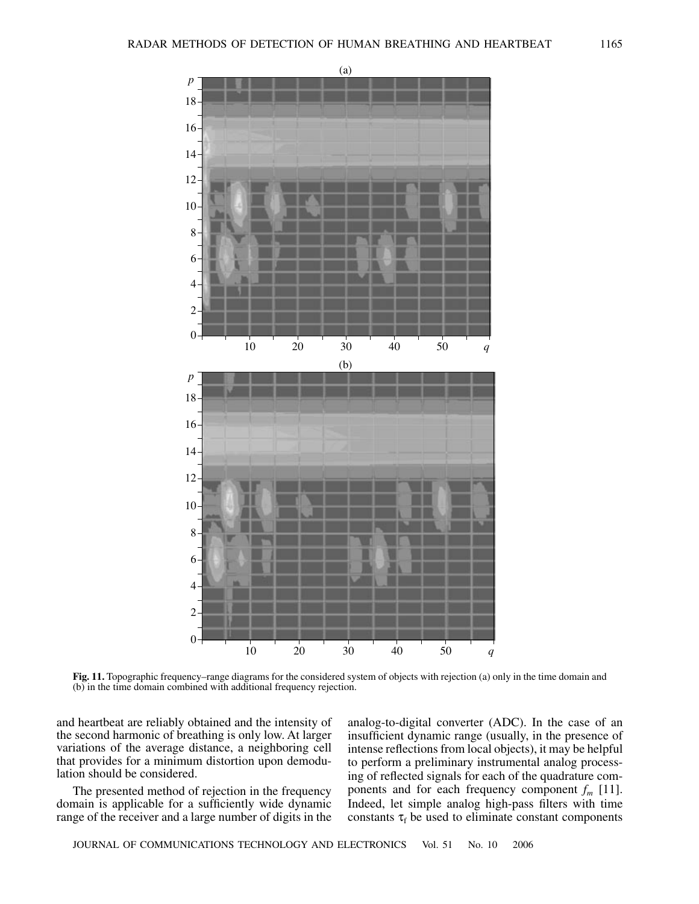

**Fig. 11.** Topographic frequency–range diagrams for the considered system of objects with rejection (a) only in the time domain and (b) in the time domain combined with additional frequency rejection.

and heartbeat are reliably obtained and the intensity of the second harmonic of breathing is only low. At larger variations of the average distance, a neighboring cell that provides for a minimum distortion upon demodulation should be considered.

The presented method of rejection in the frequency domain is applicable for a sufficiently wide dynamic range of the receiver and a large number of digits in the analog-to-digital converter (ADC). In the case of an insufficient dynamic range (usually, in the presence of intense reflections from local objects), it may be helpful to perform a preliminary instrumental analog processing of reflected signals for each of the quadrature components and for each frequency component  $f_m$  [11]. Indeed, let simple analog high-pass filters with time constants  $\tau_f$  be used to eliminate constant components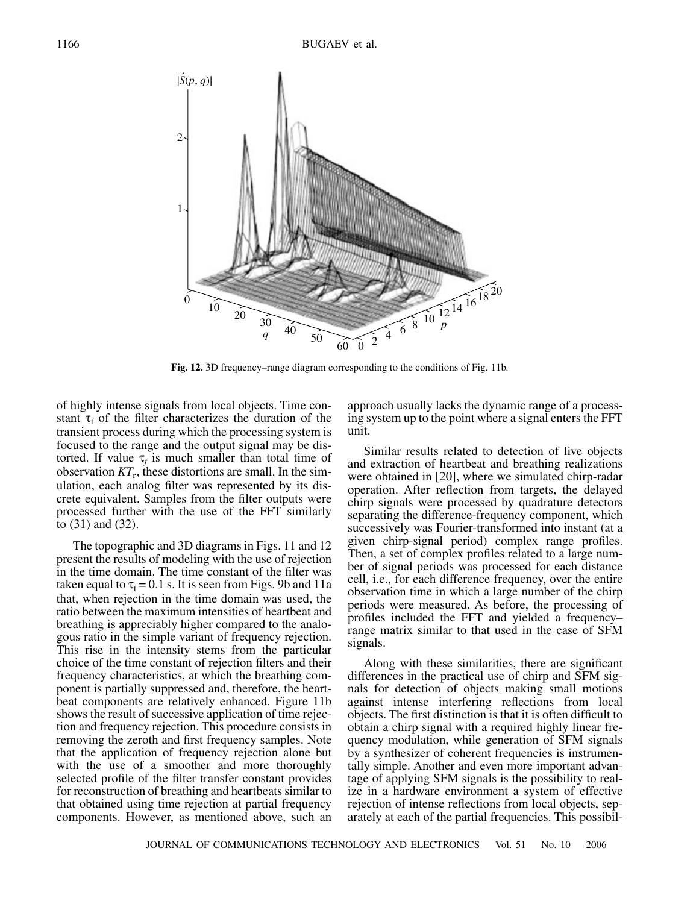

**Fig. 12.** 3D frequency–range diagram corresponding to the conditions of Fig. 11b.

of highly intense signals from local objects. Time constant  $\tau_f$  of the filter characterizes the duration of the transient process during which the processing system is focused to the range and the output signal may be distorted. If value  $\tau_f$  is much smaller than total time of observation  $KT_r$ , these distortions are small. In the simulation, each analog filter was represented by its discrete equivalent. Samples from the filter outputs were processed further with the use of the FFT similarly to (31) and (32).

The topographic and 3D diagrams in Figs. 11 and 12 present the results of modeling with the use of rejection in the time domain. The time constant of the filter was taken equal to  $\tau_f = 0.1$  s. It is seen from Figs. 9b and 11a that, when rejection in the time domain was used, the ratio between the maximum intensities of heartbeat and breathing is appreciably higher compared to the analogous ratio in the simple variant of frequency rejection. This rise in the intensity stems from the particular choice of the time constant of rejection filters and their frequency characteristics, at which the breathing component is partially suppressed and, therefore, the heartbeat components are relatively enhanced. Figure 11b shows the result of successive application of time rejection and frequency rejection. This procedure consists in removing the zeroth and first frequency samples. Note that the application of frequency rejection alone but with the use of a smoother and more thoroughly selected profile of the filter transfer constant provides for reconstruction of breathing and heartbeats similar to that obtained using time rejection at partial frequency components. However, as mentioned above, such an approach usually lacks the dynamic range of a processing system up to the point where a signal enters the FFT unit.

Similar results related to detection of live objects and extraction of heartbeat and breathing realizations were obtained in [20], where we simulated chirp-radar operation. After reflection from targets, the delayed chirp signals were processed by quadrature detectors separating the difference-frequency component, which successively was Fourier-transformed into instant (at a given chirp-signal period) complex range profiles. Then, a set of complex profiles related to a large number of signal periods was processed for each distance cell, i.e., for each difference frequency, over the entire observation time in which a large number of the chirp periods were measured. As before, the processing of profiles included the FFT and yielded a frequency– range matrix similar to that used in the case of SFM signals.

Along with these similarities, there are significant differences in the practical use of chirp and SFM signals for detection of objects making small motions against intense interfering reflections from local objects. The first distinction is that it is often difficult to obtain a chirp signal with a required highly linear frequency modulation, while generation of SFM signals by a synthesizer of coherent frequencies is instrumentally simple. Another and even more important advantage of applying SFM signals is the possibility to realize in a hardware environment a system of effective rejection of intense reflections from local objects, separately at each of the partial frequencies. This possibil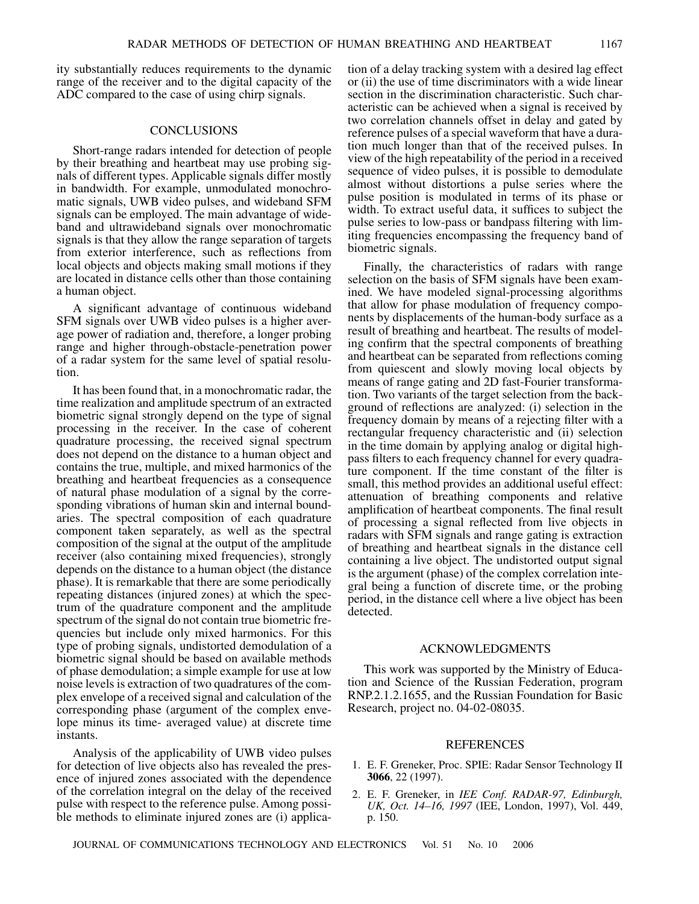ity substantially reduces requirements to the dynamic range of the receiver and to the digital capacity of the ADC compared to the case of using chirp signals.

## **CONCLUSIONS**

Short-range radars intended for detection of people by their breathing and heartbeat may use probing signals of different types. Applicable signals differ mostly in bandwidth. For example, unmodulated monochromatic signals, UWB video pulses, and wideband SFM signals can be employed. The main advantage of wideband and ultrawideband signals over monochromatic signals is that they allow the range separation of targets from exterior interference, such as reflections from local objects and objects making small motions if they are located in distance cells other than those containing a human object.

A significant advantage of continuous wideband SFM signals over UWB video pulses is a higher average power of radiation and, therefore, a longer probing range and higher through-obstacle-penetration power of a radar system for the same level of spatial resolution.

It has been found that, in a monochromatic radar, the time realization and amplitude spectrum of an extracted biometric signal strongly depend on the type of signal processing in the receiver. In the case of coherent quadrature processing, the received signal spectrum does not depend on the distance to a human object and contains the true, multiple, and mixed harmonics of the breathing and heartbeat frequencies as a consequence of natural phase modulation of a signal by the corresponding vibrations of human skin and internal boundaries. The spectral composition of each quadrature component taken separately, as well as the spectral composition of the signal at the output of the amplitude receiver (also containing mixed frequencies), strongly depends on the distance to a human object (the distance phase). It is remarkable that there are some periodically repeating distances (injured zones) at which the spectrum of the quadrature component and the amplitude spectrum of the signal do not contain true biometric frequencies but include only mixed harmonics. For this type of probing signals, undistorted demodulation of a biometric signal should be based on available methods of phase demodulation; a simple example for use at low noise levels is extraction of two quadratures of the complex envelope of a received signal and calculation of the corresponding phase (argument of the complex envelope minus its time- averaged value) at discrete time instants.

Analysis of the applicability of UWB video pulses for detection of live objects also has revealed the presence of injured zones associated with the dependence of the correlation integral on the delay of the received pulse with respect to the reference pulse. Among possible methods to eliminate injured zones are (i) application of a delay tracking system with a desired lag effect or (ii) the use of time discriminators with a wide linear section in the discrimination characteristic. Such characteristic can be achieved when a signal is received by two correlation channels offset in delay and gated by reference pulses of a special waveform that have a duration much longer than that of the received pulses. In view of the high repeatability of the period in a received sequence of video pulses, it is possible to demodulate almost without distortions a pulse series where the pulse position is modulated in terms of its phase or width. To extract useful data, it suffices to subject the pulse series to low-pass or bandpass filtering with limiting frequencies encompassing the frequency band of biometric signals.

Finally, the characteristics of radars with range selection on the basis of SFM signals have been examined. We have modeled signal-processing algorithms that allow for phase modulation of frequency components by displacements of the human-body surface as a result of breathing and heartbeat. The results of modeling confirm that the spectral components of breathing and heartbeat can be separated from reflections coming from quiescent and slowly moving local objects by means of range gating and 2D fast-Fourier transformation. Two variants of the target selection from the background of reflections are analyzed: (i) selection in the frequency domain by means of a rejecting filter with a rectangular frequency characteristic and (ii) selection in the time domain by applying analog or digital highpass filters to each frequency channel for every quadrature component. If the time constant of the filter is small, this method provides an additional useful effect: attenuation of breathing components and relative amplification of heartbeat components. The final result of processing a signal reflected from live objects in radars with SFM signals and range gating is extraction of breathing and heartbeat signals in the distance cell containing a live object. The undistorted output signal is the argument (phase) of the complex correlation integral being a function of discrete time, or the probing period, in the distance cell where a live object has been detected.

#### ACKNOWLEDGMENTS

This work was supported by the Ministry of Education and Science of the Russian Federation, program RNP.2.1.2.1655, and the Russian Foundation for Basic Research, project no. 04-02-08035.

#### REFERENCES

- 1. E. F. Greneker, Proc. SPIE: Radar Sensor Technology II **3066**, 22 (1997).
- 2. E. F. Greneker, in *IEE Conf. RADAR-97, Edinburgh, UK, Oct. 14–16, 1997* (IEE, London, 1997), Vol. 449, p. 150.